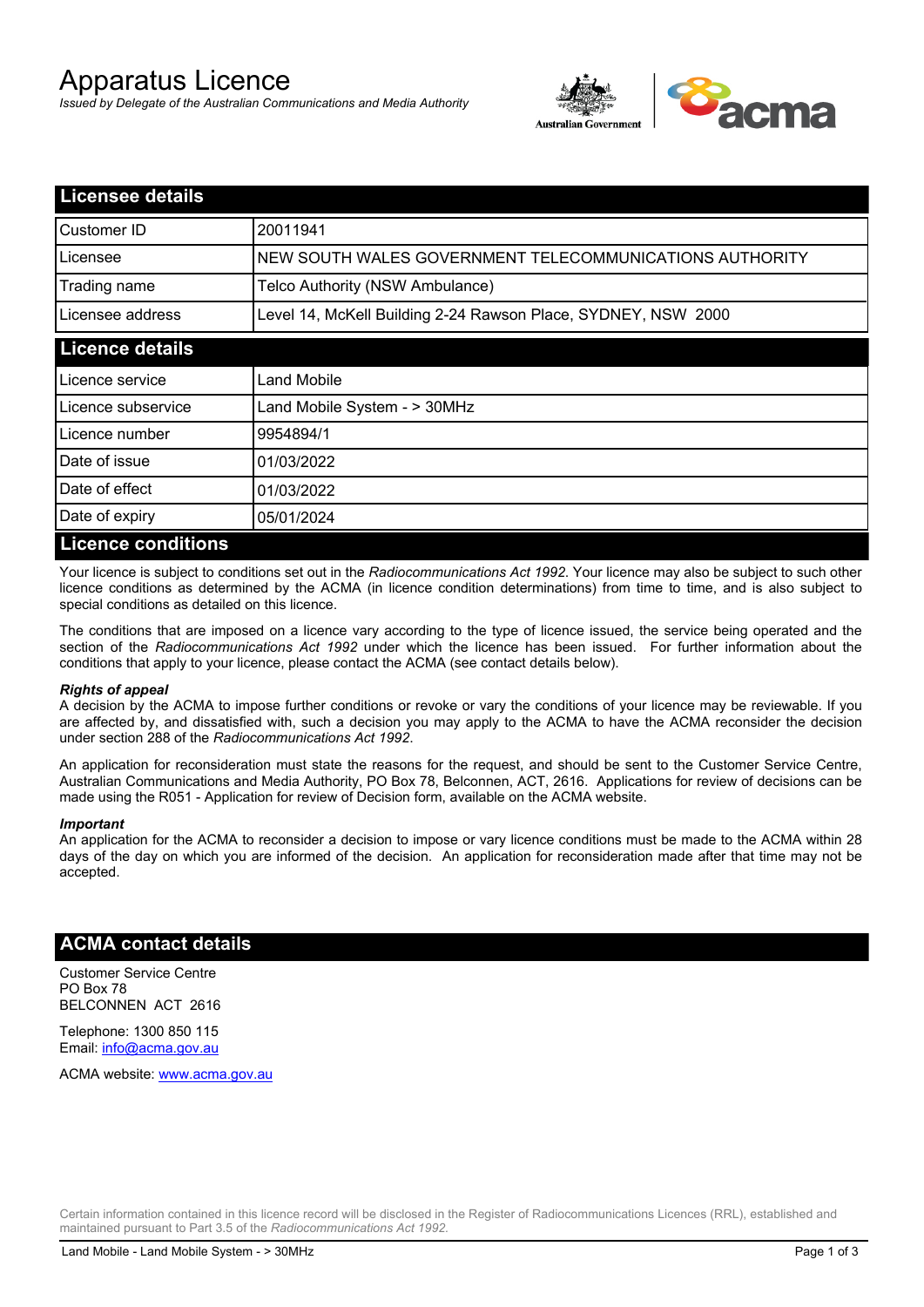# Apparatus Licence

*Issued by Delegate of the Australian Communications and Media Authority*



| <b>Licensee details</b>   |                                                               |
|---------------------------|---------------------------------------------------------------|
| Customer ID               | 20011941                                                      |
| Licensee                  | NEW SOUTH WALES GOVERNMENT TELECOMMUNICATIONS AUTHORITY       |
| Trading name              | Telco Authority (NSW Ambulance)                               |
| Licensee address          | Level 14, McKell Building 2-24 Rawson Place, SYDNEY, NSW 2000 |
| <b>Licence details</b>    |                                                               |
| l Licence service         | Land Mobile                                                   |
| Licence subservice        | Land Mobile System - > 30MHz                                  |
| Licence number            | 9954894/1                                                     |
| Date of issue             | 01/03/2022                                                    |
| Date of effect            | 01/03/2022                                                    |
| Date of expiry            | 05/01/2024                                                    |
| <b>Licence conditions</b> |                                                               |

Your licence is subject to conditions set out in the *Radiocommunications Act 1992*. Your licence may also be subject to such other licence conditions as determined by the ACMA (in licence condition determinations) from time to time, and is also subject to special conditions as detailed on this licence.

The conditions that are imposed on a licence vary according to the type of licence issued, the service being operated and the section of the *Radiocommunications Act 1992* under which the licence has been issued. For further information about the conditions that apply to your licence, please contact the ACMA (see contact details below).

#### *Rights of appeal*

A decision by the ACMA to impose further conditions or revoke or vary the conditions of your licence may be reviewable. If you are affected by, and dissatisfied with, such a decision you may apply to the ACMA to have the ACMA reconsider the decision under section 288 of the *Radiocommunications Act 1992*.

An application for reconsideration must state the reasons for the request, and should be sent to the Customer Service Centre, Australian Communications and Media Authority, PO Box 78, Belconnen, ACT, 2616. Applications for review of decisions can be made using the R051 - Application for review of Decision form, available on the ACMA website.

#### *Important*

An application for the ACMA to reconsider a decision to impose or vary licence conditions must be made to the ACMA within 28 days of the day on which you are informed of the decision. An application for reconsideration made after that time may not be accepted.

### **ACMA contact details**

Customer Service Centre PO Box 78 BELCONNEN ACT 2616

Telephone: 1300 850 115 Email: info@acma.gov.au

ACMA website: www.acma.gov.au

Certain information contained in this licence record will be disclosed in the Register of Radiocommunications Licences (RRL), established and maintained pursuant to Part 3.5 of the *Radiocommunications Act 1992.*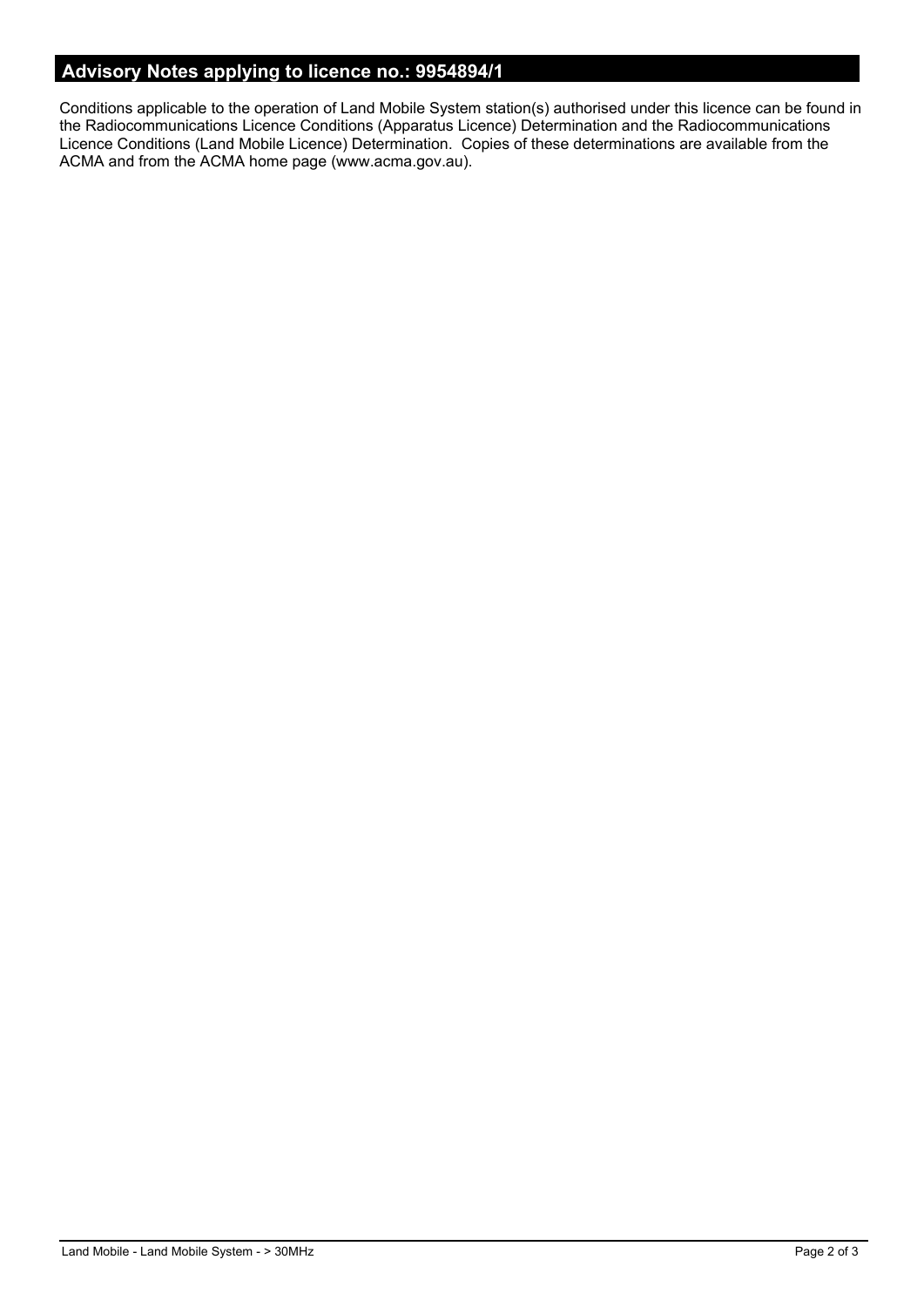# **Advisory Notes applying to licence no.: 9954894/1**

Conditions applicable to the operation of Land Mobile System station(s) authorised under this licence can be found in the Radiocommunications Licence Conditions (Apparatus Licence) Determination and the Radiocommunications Licence Conditions (Land Mobile Licence) Determination. Copies of these determinations are available from the ACMA and from the ACMA home page (www.acma.gov.au).